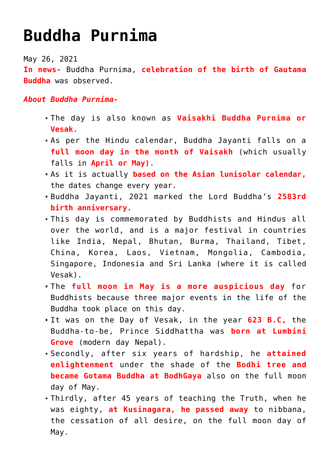## **[Buddha Purnima](https://journalsofindia.com/buddha-purnima/)**

May 26, 2021

**In news-** Buddha Purnima, **celebration of the birth of Gautama Buddha** was observed.

*About Buddha Purnima-*

- The day is also known as **Vaisakhi Buddha Purnima or Vesak.**
- As per the Hindu calendar, Buddha Jayanti falls on a **full moon day in the month of Vaisakh** (which usually falls in **April or May)**.
- As it is actually **based on the Asian lunisolar calendar,** the dates change every year.
- Buddha Jayanti, 2021 marked the Lord Buddha's **2583rd birth anniversary.**
- This day is commemorated by Buddhists and Hindus all over the world, and is a major festival in countries like India, Nepal, Bhutan, Burma, Thailand, Tibet, China, Korea, Laos, Vietnam, Mongolia, Cambodia, Singapore, Indonesia and Sri Lanka (where it is called Vesak).
- The **full moon in May is a more auspicious day** for Buddhists because three major events in the life of the Buddha took place on this day.
- It was on the Day of Vesak, in the year **623 B.C,** the Buddha-to-be, Prince Siddhattha was **born at Lumbini Grove** (modern day Nepal).
- Secondly, after six years of hardship, he **attained enlightenment** under the shade of the **Bodhi tree and became Gotama Buddha at BodhGaya** also on the full moon day of May.
- Thirdly, after 45 years of teaching the Truth, when he was eighty, **at Kusinagara, he passed away** to nibbana, the cessation of all desire, on the full moon day of May.